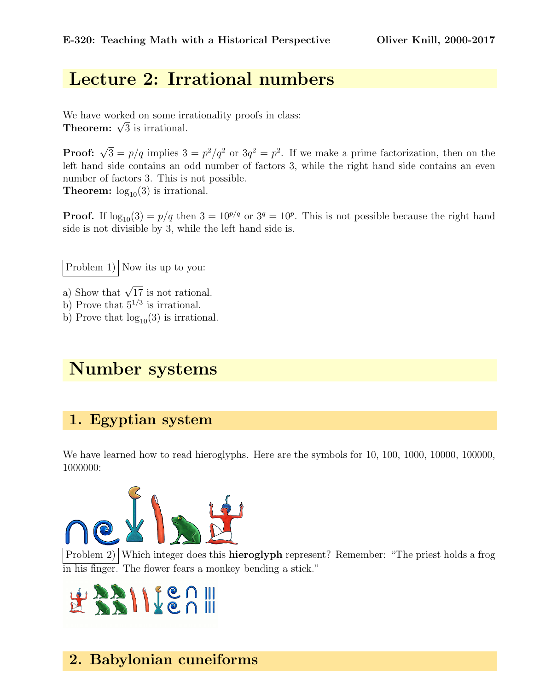# Lecture 2: Irrational numbers

We have worked on some irrationality proofs in class: we nave worked on some irr<br>Theorem:  $\sqrt{3}$  is irrational.

**Proof:**  $\sqrt{3} = p/q$  implies  $3 = p^2/q^2$  or  $3q^2 = p^2$ . If we make a prime factorization, then on the left hand side contains an odd number of factors 3, while the right hand side contains an even number of factors 3. This is not possible. **Theorem:**  $log_{10}(3)$  is irrational.

**Proof.** If  $\log_{10}(3) = p/q$  then  $3 = 10^{p/q}$  or  $3^q = 10^p$ . This is not possible because the right hand side is not divisible by 3, while the left hand side is.

Problem 1) Now its up to you:

a) Show that  $\sqrt{17}$  is not rational.

b) Prove that  $5^{1/3}$  is irrational.

b) Prove that  $log_{10}(3)$  is irrational.

# Number systems

#### 1. Egyptian system

We have learned how to read hieroglyphs. Here are the symbols for 10, 100, 1000, 10000, 100000, 1000000:



Problem 2) Which integer does this **hieroglyph** represent? Remember: "The priest holds a frog in his finger. The flower fears a monkey bending a stick."

# HARIILEA III

## 2. Babylonian cuneiforms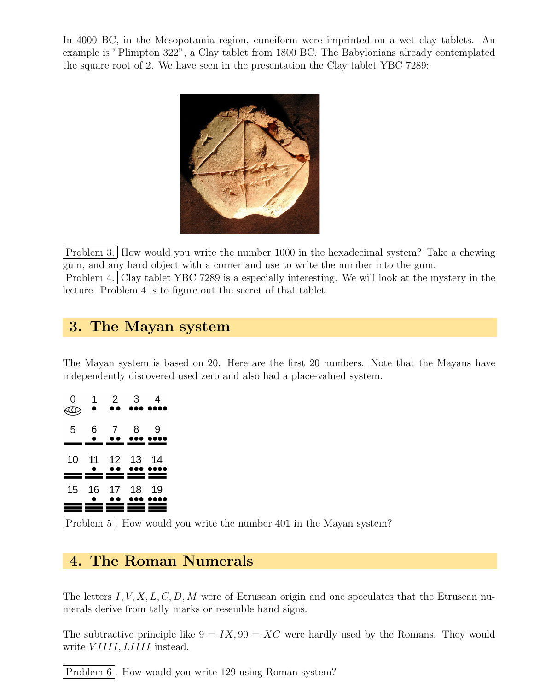In 4000 BC, in the Mesopotamia region, cuneiform were imprinted on a wet clay tablets. An example is "Plimpton 322", a Clay tablet from 1800 BC. The Babylonians already contemplated the square root of 2. We have seen in the presentation the Clay tablet YBC 7289:



Problem 3. How would you write the number 1000 in the hexadecimal system? Take a chewing gum, and any hard object with a corner and use to write the number into the gum. Problem 4. Clay tablet YBC 7289 is a especially interesting. We will look at the mystery in the lecture. Problem 4 is to figure out the secret of that tablet.

### 3. The Mayan system

The Mayan system is based on 20. Here are the first 20 numbers. Note that the Mayans have independently discovered used zero and also had a place-valued system.

| 0              | 1<br>$\bullet$  | $2^{\circ}$    | 3              | 4  |
|----------------|-----------------|----------------|----------------|----|
| 5              | 6.<br>$\bullet$ | $7^{\circ}$    | 8              | 9  |
| 10<br>$\equiv$ | 11              | <u>- - - -</u> | 12 13          | 14 |
| 15             | 16              |                | 17 18<br>≡≡≡≡≡ | 19 |
|                |                 |                |                |    |

Problem 5. How would you write the number 401 in the Mayan system?

## 4. The Roman Numerals

The letters I, V, X, L, C, D, M were of Etruscan origin and one speculates that the Etruscan numerals derive from tally marks or resemble hand signs.

The subtractive principle like  $9 = IX$ ,  $90 = XC$  were hardly used by the Romans. They would write *VIIII*, *LIIII* instead.

Problem 6. How would you write 129 using Roman system?